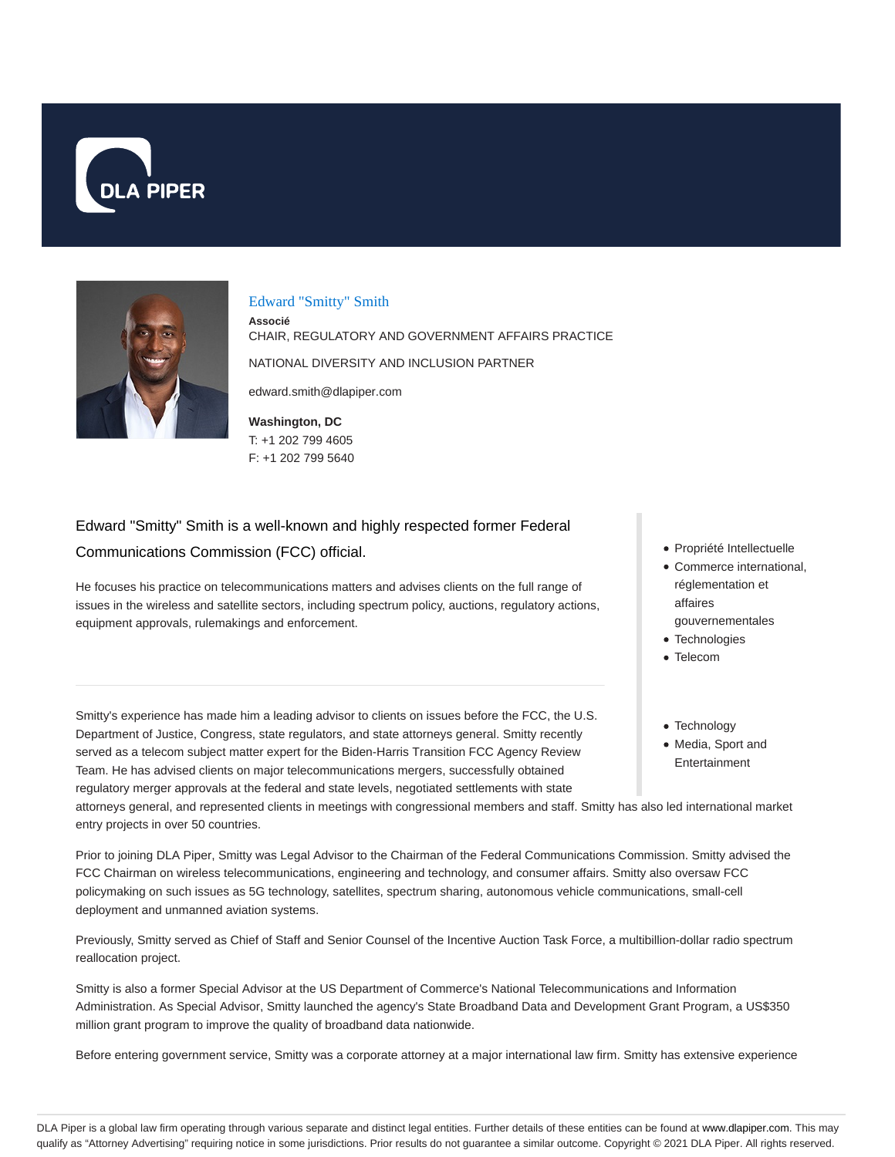



#### Edward "Smitty" Smith

**Associé** CHAIR, REGULATORY AND GOVERNMENT AFFAIRS PRACTICE NATIONAL DIVERSITY AND INCLUSION PARTNER edward.smith@dlapiper.com

**Washington, DC** T: +1 202 799 4605 F: +1 202 799 5640

# Edward "Smitty" Smith is a well-known and highly respected former Federal

Communications Commission (FCC) official.

He focuses his practice on telecommunications matters and advises clients on the full range of issues in the wireless and satellite sectors, including spectrum policy, auctions, regulatory actions, equipment approvals, rulemakings and enforcement.

Smitty's experience has made him a leading advisor to clients on issues before the FCC, the U.S. Department of Justice, Congress, state regulators, and state attorneys general. Smitty recently served as a telecom subject matter expert for the Biden-Harris Transition FCC Agency Review Team. He has advised clients on major telecommunications mergers, successfully obtained regulatory merger approvals at the federal and state levels, negotiated settlements with state

Propriété Intellectuelle

- Commerce international, réglementation et affaires
- gouvernementales
- Technologies
- Telecom
- Technology
- Media, Sport and Entertainment

attorneys general, and represented clients in meetings with congressional members and staff. Smitty has also led international market entry projects in over 50 countries.

Prior to joining DLA Piper, Smitty was Legal Advisor to the Chairman of the Federal Communications Commission. Smitty advised the FCC Chairman on wireless telecommunications, engineering and technology, and consumer affairs. Smitty also oversaw FCC policymaking on such issues as 5G technology, satellites, spectrum sharing, autonomous vehicle communications, small-cell deployment and unmanned aviation systems.

Previously, Smitty served as Chief of Staff and Senior Counsel of the Incentive Auction Task Force, a multibillion-dollar radio spectrum reallocation project.

Smitty is also a former Special Advisor at the US Department of Commerce's National Telecommunications and Information Administration. As Special Advisor, Smitty launched the agency's State Broadband Data and Development Grant Program, a US\$350 million grant program to improve the quality of broadband data nationwide.

Before entering government service, Smitty was a corporate attorney at a major international law firm. Smitty has extensive experience

DLA Piper is a global law firm operating through various separate and distinct legal entities. Further details of these entities can be found at www.dlapiper.com. This may qualify as "Attorney Advertising" requiring notice in some jurisdictions. Prior results do not guarantee a similar outcome. Copyright © 2021 DLA Piper. All rights reserved.